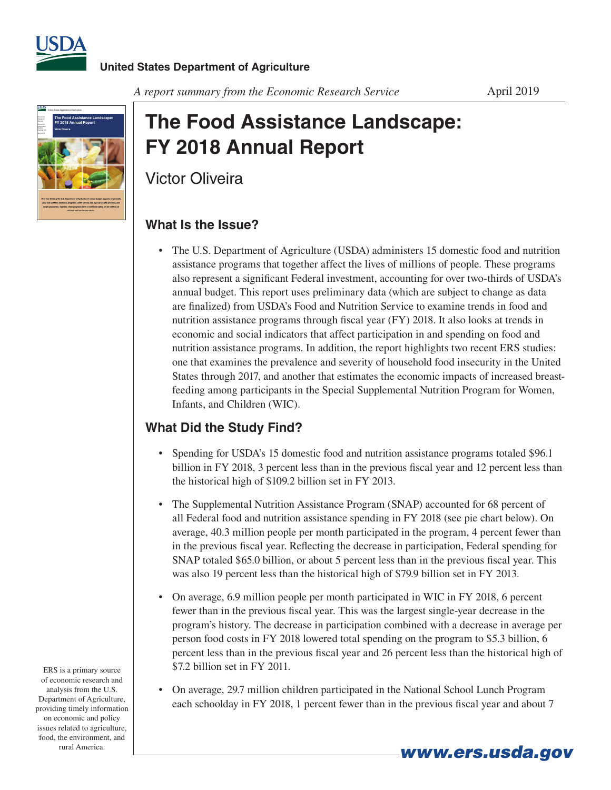



# **The Food Assistance Landscape: FY 2018 Annual Report**

Victor Oliveira

### **What Is the Issue?**

• The U.S. Department of Agriculture (USDA) administers 15 domestic food and nutrition assistance programs that together affect the lives of millions of people. These programs also represent a significant Federal investment, accounting for over two-thirds of USDA's annual budget. This report uses preliminary data (which are subject to change as data are finalized) from USDA's Food and Nutrition Service to examine trends in food and nutrition assistance programs through fiscal year (FY) 2018. It also looks at trends in economic and social indicators that affect participation in and spending on food and nutrition assistance programs. In addition, the report highlights two recent ERS studies: one that examines the prevalence and severity of household food insecurity in the United States through 2017, and another that estimates the economic impacts of increased breastfeeding among participants in the Special Supplemental Nutrition Program for Women, Infants, and Children (WIC).

## **What Did the Study Find?**

- Spending for USDA's 15 domestic food and nutrition assistance programs totaled \$96.1 billion in FY 2018, 3 percent less than in the previous fiscal year and 12 percent less than the historical high of \$109.2 billion set in FY 2013.
- The Supplemental Nutrition Assistance Program (SNAP) accounted for 68 percent of all Federal food and nutrition assistance spending in FY 2018 (see pie chart below). On average, 40.3 million people per month participated in the program, 4 percent fewer than in the previous fiscal year. Reflecting the decrease in participation, Federal spending for SNAP totaled \$65.0 billion, or about 5 percent less than in the previous fiscal year. This was also 19 percent less than the historical high of \$79.9 billion set in FY 2013.
- On average, 6.9 million people per month participated in WIC in FY 2018, 6 percent fewer than in the previous fiscal year. This was the largest single-year decrease in the program's history. The decrease in participation combined with a decrease in average per person food costs in FY 2018 lowered total spending on the program to \$5.3 billion, 6 percent less than in the previous fiscal year and 26 percent less than the historical high of \$7.2 billion set in FY 2011.
- • On average, 29.7 million children participated in the National School Lunch Program each schoolday in FY 2018, 1 percent fewer than in the previous fiscal year and about 7

*www.ers.usda.gov*

ERS is a primary source of economic research and analysis from the U.S. Department of Agriculture, providing timely information on economic and policy issues related to agriculture, food, the environment, and rural America.